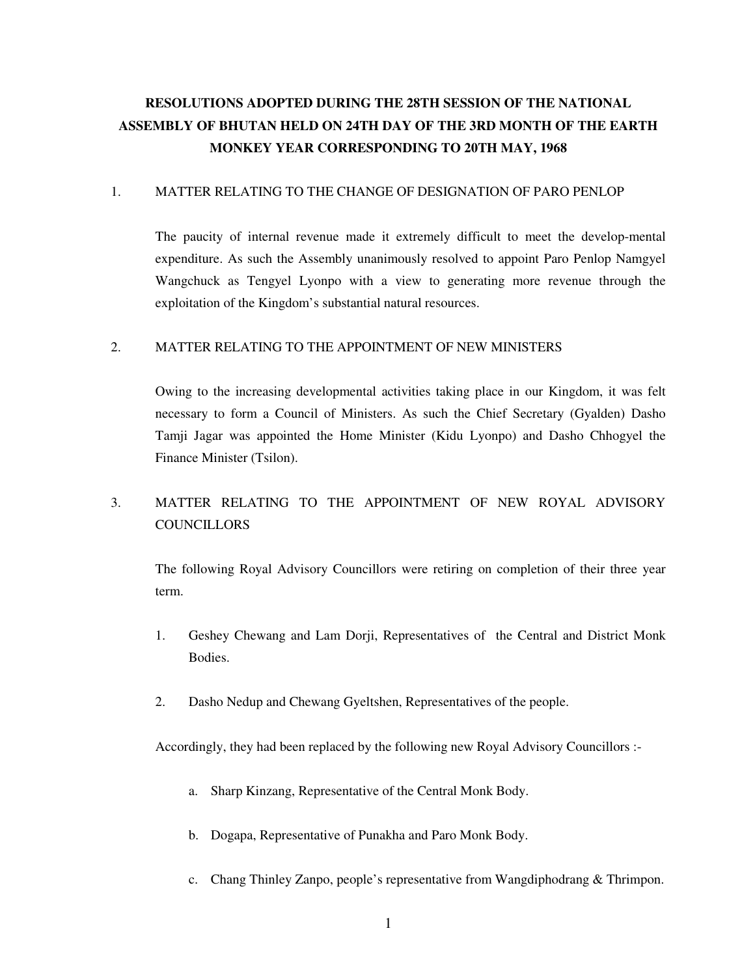# **RESOLUTIONS ADOPTED DURING THE 28TH SESSION OF THE NATIONAL ASSEMBLY OF BHUTAN HELD ON 24TH DAY OF THE 3RD MONTH OF THE EARTH MONKEY YEAR CORRESPONDING TO 20TH MAY, 1968**

### 1. MATTER RELATING TO THE CHANGE OF DESIGNATION OF PARO PENLOP

 The paucity of internal revenue made it extremely difficult to meet the develop-mental expenditure. As such the Assembly unanimously resolved to appoint Paro Penlop Namgyel Wangchuck as Tengyel Lyonpo with a view to generating more revenue through the exploitation of the Kingdom's substantial natural resources.

## 2. MATTER RELATING TO THE APPOINTMENT OF NEW MINISTERS

 Owing to the increasing developmental activities taking place in our Kingdom, it was felt necessary to form a Council of Ministers. As such the Chief Secretary (Gyalden) Dasho Tamji Jagar was appointed the Home Minister (Kidu Lyonpo) and Dasho Chhogyel the Finance Minister (Tsilon).

## 3. MATTER RELATING TO THE APPOINTMENT OF NEW ROYAL ADVISORY **COUNCILLORS**

 The following Royal Advisory Councillors were retiring on completion of their three year term.

- 1. Geshey Chewang and Lam Dorji, Representatives of the Central and District Monk Bodies.
- 2. Dasho Nedup and Chewang Gyeltshen, Representatives of the people.

Accordingly, they had been replaced by the following new Royal Advisory Councillors :-

- a. Sharp Kinzang, Representative of the Central Monk Body.
- b. Dogapa, Representative of Punakha and Paro Monk Body.
- c. Chang Thinley Zanpo, people's representative from Wangdiphodrang & Thrimpon.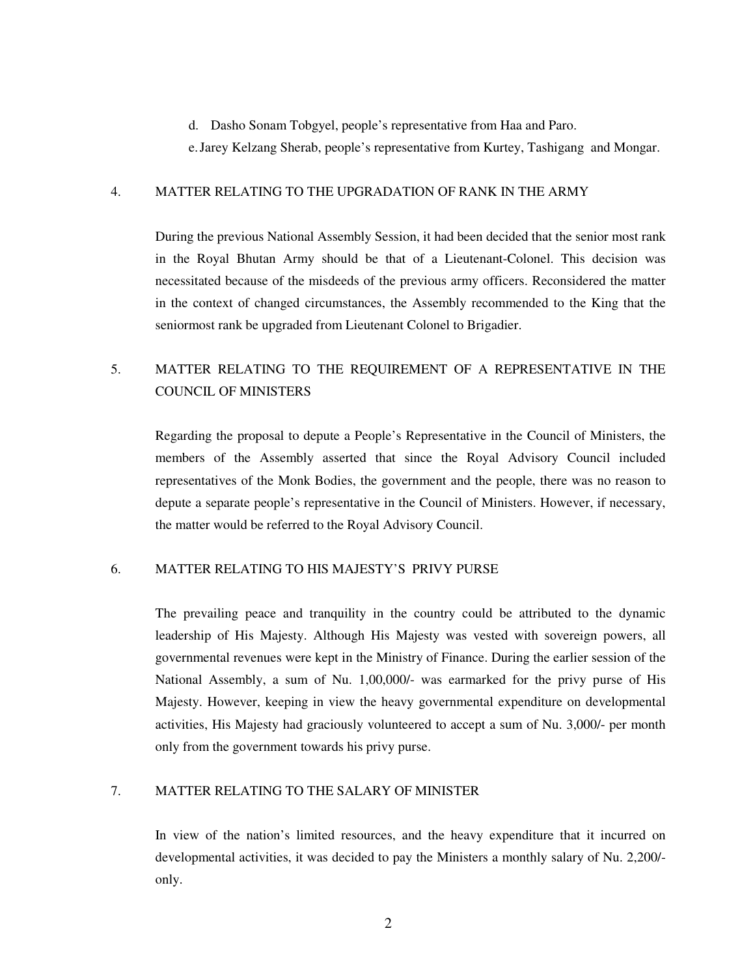d. Dasho Sonam Tobgyel, people's representative from Haa and Paro.

e. Jarey Kelzang Sherab, people's representative from Kurtey, Tashigang and Mongar.

#### 4. MATTER RELATING TO THE UPGRADATION OF RANK IN THE ARMY

 During the previous National Assembly Session, it had been decided that the senior most rank in the Royal Bhutan Army should be that of a Lieutenant-Colonel. This decision was necessitated because of the misdeeds of the previous army officers. Reconsidered the matter in the context of changed circumstances, the Assembly recommended to the King that the seniormost rank be upgraded from Lieutenant Colonel to Brigadier.

## 5. MATTER RELATING TO THE REQUIREMENT OF A REPRESENTATIVE IN THE COUNCIL OF MINISTERS

 Regarding the proposal to depute a People's Representative in the Council of Ministers, the members of the Assembly asserted that since the Royal Advisory Council included representatives of the Monk Bodies, the government and the people, there was no reason to depute a separate people's representative in the Council of Ministers. However, if necessary, the matter would be referred to the Royal Advisory Council.

## 6. MATTER RELATING TO HIS MAJESTY'S PRIVY PURSE

 The prevailing peace and tranquility in the country could be attributed to the dynamic leadership of His Majesty. Although His Majesty was vested with sovereign powers, all governmental revenues were kept in the Ministry of Finance. During the earlier session of the National Assembly, a sum of Nu. 1,00,000/- was earmarked for the privy purse of His Majesty. However, keeping in view the heavy governmental expenditure on developmental activities, His Majesty had graciously volunteered to accept a sum of Nu. 3,000/- per month only from the government towards his privy purse.

## 7. MATTER RELATING TO THE SALARY OF MINISTER

 In view of the nation's limited resources, and the heavy expenditure that it incurred on developmental activities, it was decided to pay the Ministers a monthly salary of Nu. 2,200/ only.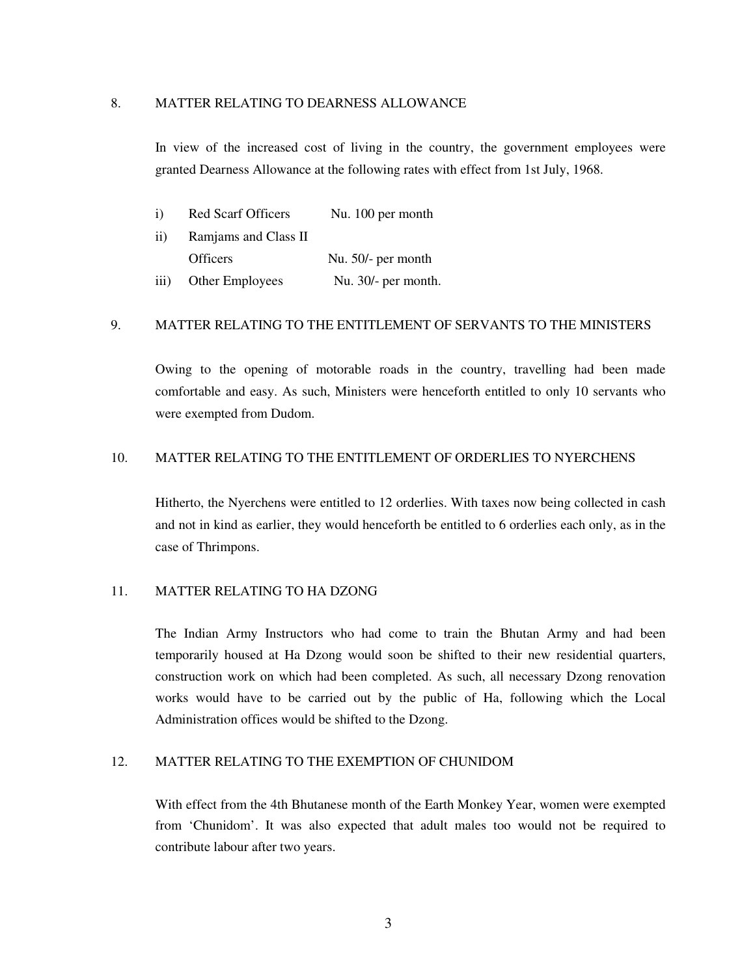#### 8. MATTER RELATING TO DEARNESS ALLOWANCE

 In view of the increased cost of living in the country, the government employees were granted Dearness Allowance at the following rates with effect from 1st July, 1968.

| 1)                 | Red Scarf Officers     | Nu. 100 per month   |
|--------------------|------------------------|---------------------|
| 11)                | Ramjams and Class II   |                     |
|                    | <b>Officers</b>        | Nu. 50/- per month  |
| $\overline{111}$ ) | <b>Other Employees</b> | Nu. 30/- per month. |

#### 9. MATTER RELATING TO THE ENTITLEMENT OF SERVANTS TO THE MINISTERS

 Owing to the opening of motorable roads in the country, travelling had been made comfortable and easy. As such, Ministers were henceforth entitled to only 10 servants who were exempted from Dudom.

## 10. MATTER RELATING TO THE ENTITLEMENT OF ORDERLIES TO NYERCHENS

 Hitherto, the Nyerchens were entitled to 12 orderlies. With taxes now being collected in cash and not in kind as earlier, they would henceforth be entitled to 6 orderlies each only, as in the case of Thrimpons.

## 11. MATTER RELATING TO HA DZONG

 The Indian Army Instructors who had come to train the Bhutan Army and had been temporarily housed at Ha Dzong would soon be shifted to their new residential quarters, construction work on which had been completed. As such, all necessary Dzong renovation works would have to be carried out by the public of Ha, following which the Local Administration offices would be shifted to the Dzong.

#### 12. MATTER RELATING TO THE EXEMPTION OF CHUNIDOM

 With effect from the 4th Bhutanese month of the Earth Monkey Year, women were exempted from 'Chunidom'. It was also expected that adult males too would not be required to contribute labour after two years.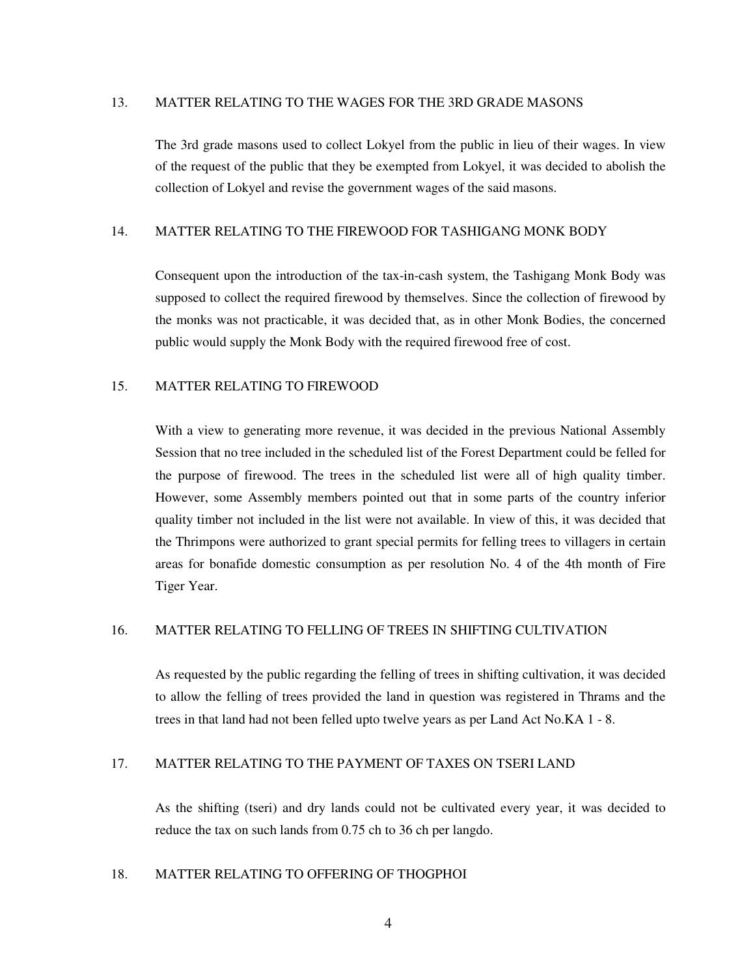#### 13. MATTER RELATING TO THE WAGES FOR THE 3RD GRADE MASONS

 The 3rd grade masons used to collect Lokyel from the public in lieu of their wages. In view of the request of the public that they be exempted from Lokyel, it was decided to abolish the collection of Lokyel and revise the government wages of the said masons.

## 14. MATTER RELATING TO THE FIREWOOD FOR TASHIGANG MONK BODY

 Consequent upon the introduction of the tax-in-cash system, the Tashigang Monk Body was supposed to collect the required firewood by themselves. Since the collection of firewood by the monks was not practicable, it was decided that, as in other Monk Bodies, the concerned public would supply the Monk Body with the required firewood free of cost.

## 15. MATTER RELATING TO FIREWOOD

 With a view to generating more revenue, it was decided in the previous National Assembly Session that no tree included in the scheduled list of the Forest Department could be felled for the purpose of firewood. The trees in the scheduled list were all of high quality timber. However, some Assembly members pointed out that in some parts of the country inferior quality timber not included in the list were not available. In view of this, it was decided that the Thrimpons were authorized to grant special permits for felling trees to villagers in certain areas for bonafide domestic consumption as per resolution No. 4 of the 4th month of Fire Tiger Year.

## 16. MATTER RELATING TO FELLING OF TREES IN SHIFTING CULTIVATION

 As requested by the public regarding the felling of trees in shifting cultivation, it was decided to allow the felling of trees provided the land in question was registered in Thrams and the trees in that land had not been felled upto twelve years as per Land Act No.KA 1 - 8.

## 17. MATTER RELATING TO THE PAYMENT OF TAXES ON TSERI LAND

 As the shifting (tseri) and dry lands could not be cultivated every year, it was decided to reduce the tax on such lands from 0.75 ch to 36 ch per langdo.

## 18. MATTER RELATING TO OFFERING OF THOGPHOI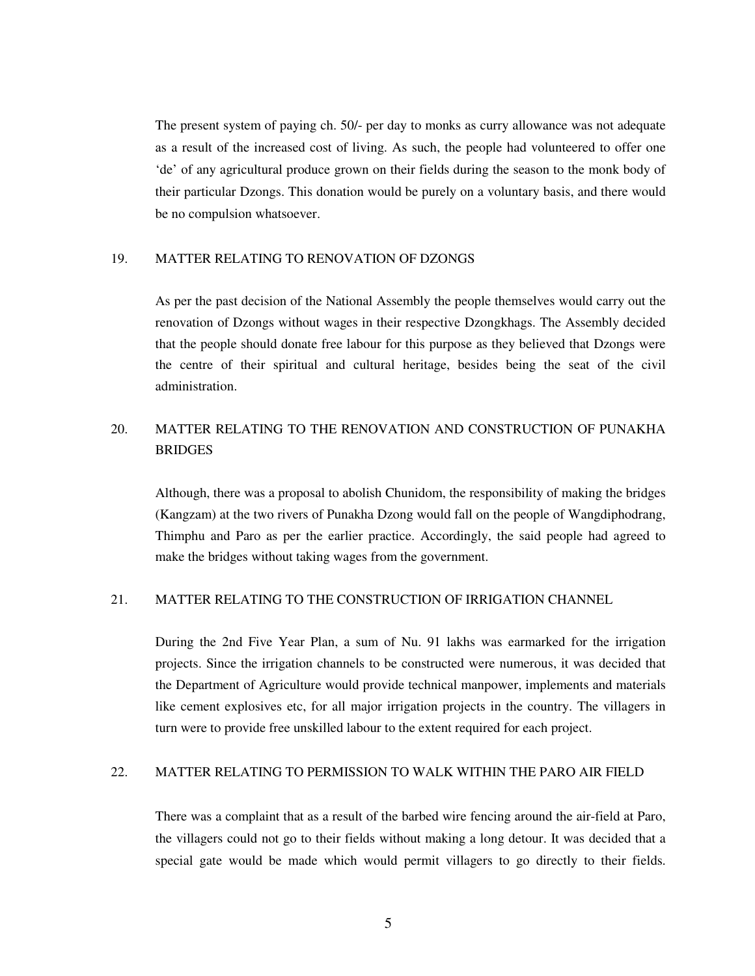The present system of paying ch. 50/- per day to monks as curry allowance was not adequate as a result of the increased cost of living. As such, the people had volunteered to offer one 'de' of any agricultural produce grown on their fields during the season to the monk body of their particular Dzongs. This donation would be purely on a voluntary basis, and there would be no compulsion whatsoever.

#### 19. MATTER RELATING TO RENOVATION OF DZONGS

 As per the past decision of the National Assembly the people themselves would carry out the renovation of Dzongs without wages in their respective Dzongkhags. The Assembly decided that the people should donate free labour for this purpose as they believed that Dzongs were the centre of their spiritual and cultural heritage, besides being the seat of the civil administration.

## 20. MATTER RELATING TO THE RENOVATION AND CONSTRUCTION OF PUNAKHA **BRIDGES**

 Although, there was a proposal to abolish Chunidom, the responsibility of making the bridges (Kangzam) at the two rivers of Punakha Dzong would fall on the people of Wangdiphodrang, Thimphu and Paro as per the earlier practice. Accordingly, the said people had agreed to make the bridges without taking wages from the government.

## 21. MATTER RELATING TO THE CONSTRUCTION OF IRRIGATION CHANNEL

 During the 2nd Five Year Plan, a sum of Nu. 91 lakhs was earmarked for the irrigation projects. Since the irrigation channels to be constructed were numerous, it was decided that the Department of Agriculture would provide technical manpower, implements and materials like cement explosives etc, for all major irrigation projects in the country. The villagers in turn were to provide free unskilled labour to the extent required for each project.

## 22. MATTER RELATING TO PERMISSION TO WALK WITHIN THE PARO AIR FIELD

 There was a complaint that as a result of the barbed wire fencing around the air-field at Paro, the villagers could not go to their fields without making a long detour. It was decided that a special gate would be made which would permit villagers to go directly to their fields.